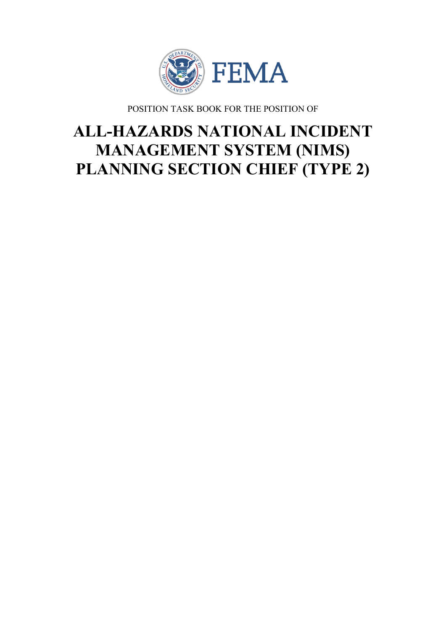

POSITION TASK BOOK FOR THE POSITION OF

# **ALL-HAZARDS NATIONAL INCIDENT MANAGEMENT SYSTEM (NIMS) PLANNING SECTION CHIEF (TYPE 2)**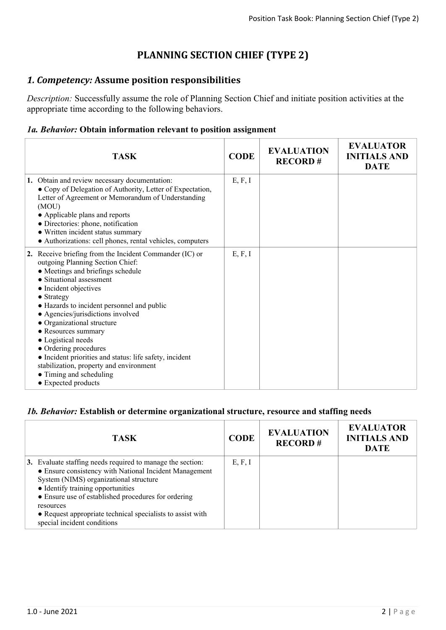## **PLANNING SECTION CHIEF (TYPE 2)**

## *1. Competency:* **Assume position responsibilities**

*Description:* Successfully assume the role of Planning Section Chief and initiate position activities at the appropriate time according to the following behaviors.

#### *1a. Behavior:* **Obtain information relevant to position assignment**

| <b>TASK</b>                                                                                                                                                                                                                                                                                                                                                                                                                                                                                                                                                | <b>CODE</b> | <b>EVALUATION</b><br><b>RECORD#</b> | <b>EVALUATOR</b><br><b>INITIALS AND</b><br><b>DATE</b> |
|------------------------------------------------------------------------------------------------------------------------------------------------------------------------------------------------------------------------------------------------------------------------------------------------------------------------------------------------------------------------------------------------------------------------------------------------------------------------------------------------------------------------------------------------------------|-------------|-------------------------------------|--------------------------------------------------------|
| 1. Obtain and review necessary documentation:<br>• Copy of Delegation of Authority, Letter of Expectation,<br>Letter of Agreement or Memorandum of Understanding<br>(MOU)<br>• Applicable plans and reports<br>· Directories: phone, notification<br>• Written incident status summary<br>• Authorizations: cell phones, rental vehicles, computers                                                                                                                                                                                                        | E, F, I     |                                     |                                                        |
| 2. Receive briefing from the Incident Commander (IC) or<br>outgoing Planning Section Chief:<br>• Meetings and briefings schedule<br>• Situational assessment<br>• Incident objectives<br>$\bullet$ Strategy<br>• Hazards to incident personnel and public<br>• Agencies/jurisdictions involved<br>• Organizational structure<br>• Resources summary<br>• Logistical needs<br>• Ordering procedures<br>• Incident priorities and status: life safety, incident<br>stabilization, property and environment<br>• Timing and scheduling<br>• Expected products | E, F, I     |                                     |                                                        |

#### *1b. Behavior:* **Establish or determine organizational structure, resource and staffing needs**

| <b>TASK</b>                                                                                                                                                                                                                                                                                                                                                          | <b>CODE</b> | <b>EVALUATION</b><br><b>RECORD#</b> | <b>EVALUATOR</b><br><b>INITIALS AND</b><br><b>DATE</b> |
|----------------------------------------------------------------------------------------------------------------------------------------------------------------------------------------------------------------------------------------------------------------------------------------------------------------------------------------------------------------------|-------------|-------------------------------------|--------------------------------------------------------|
| 3. Evaluate staffing needs required to manage the section:<br>• Ensure consistency with National Incident Management<br>System (NIMS) organizational structure<br>• Identify training opportunities<br>• Ensure use of established procedures for ordering<br>resources<br>• Request appropriate technical specialists to assist with<br>special incident conditions | E, F, I     |                                     |                                                        |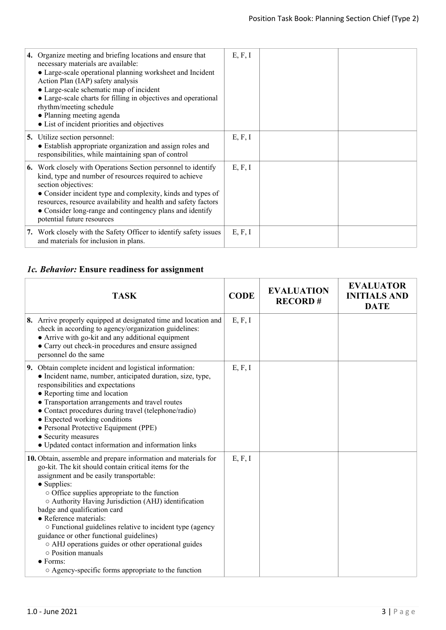| 4. Organize meeting and briefing locations and ensure that<br>necessary materials are available:<br>• Large-scale operational planning worksheet and Incident<br>Action Plan (IAP) safety analysis<br>• Large-scale schematic map of incident<br>• Large-scale charts for filling in objectives and operational<br>rhythm/meeting schedule<br>• Planning meeting agenda          | E, F, I |  |
|----------------------------------------------------------------------------------------------------------------------------------------------------------------------------------------------------------------------------------------------------------------------------------------------------------------------------------------------------------------------------------|---------|--|
| • List of incident priorities and objectives                                                                                                                                                                                                                                                                                                                                     |         |  |
| <b>5.</b> Utilize section personnel:<br>• Establish appropriate organization and assign roles and<br>responsibilities, while maintaining span of control                                                                                                                                                                                                                         | E, F, I |  |
| <b>6.</b> Work closely with Operations Section personnel to identify<br>kind, type and number of resources required to achieve<br>section objectives:<br>• Consider incident type and complexity, kinds and types of<br>resources, resource availability and health and safety factors<br>• Consider long-range and contingency plans and identify<br>potential future resources | E, F, I |  |
| 7. Work closely with the Safety Officer to identify safety issues<br>and materials for inclusion in plans.                                                                                                                                                                                                                                                                       | E, F, I |  |

# *1c. Behavior:* **Ensure readiness for assignment**

| <b>TASK</b>                                                                                                                                                                                                                                                                                                                                                                                                                                                                                                                                                                                                                       | <b>CODE</b> | <b>EVALUATION</b><br><b>RECORD#</b> | <b>EVALUATOR</b><br><b>INITIALS AND</b><br><b>DATE</b> |
|-----------------------------------------------------------------------------------------------------------------------------------------------------------------------------------------------------------------------------------------------------------------------------------------------------------------------------------------------------------------------------------------------------------------------------------------------------------------------------------------------------------------------------------------------------------------------------------------------------------------------------------|-------------|-------------------------------------|--------------------------------------------------------|
| 8. Arrive properly equipped at designated time and location and<br>check in according to agency/organization guidelines:<br>• Arrive with go-kit and any additional equipment<br>• Carry out check-in procedures and ensure assigned<br>personnel do the same                                                                                                                                                                                                                                                                                                                                                                     | E, F, I     |                                     |                                                        |
| 9. Obtain complete incident and logistical information:<br>• Incident name, number, anticipated duration, size, type,<br>responsibilities and expectations<br>• Reporting time and location<br>• Transportation arrangements and travel routes<br>• Contact procedures during travel (telephone/radio)<br>• Expected working conditions<br>• Personal Protective Equipment (PPE)<br>• Security measures<br>• Updated contact information and information links                                                                                                                                                                    | E, F, I     |                                     |                                                        |
| 10. Obtain, assemble and prepare information and materials for<br>go-kit. The kit should contain critical items for the<br>assignment and be easily transportable:<br>• Supplies:<br>$\circ$ Office supplies appropriate to the function<br>O Authority Having Jurisdiction (AHJ) identification<br>badge and qualification card<br>• Reference materials:<br>o Functional guidelines relative to incident type (agency<br>guidance or other functional guidelines)<br>o AHJ operations guides or other operational guides<br>$\circ$ Position manuals<br>$\bullet$ Forms:<br>○ Agency-specific forms appropriate to the function | E, F, I     |                                     |                                                        |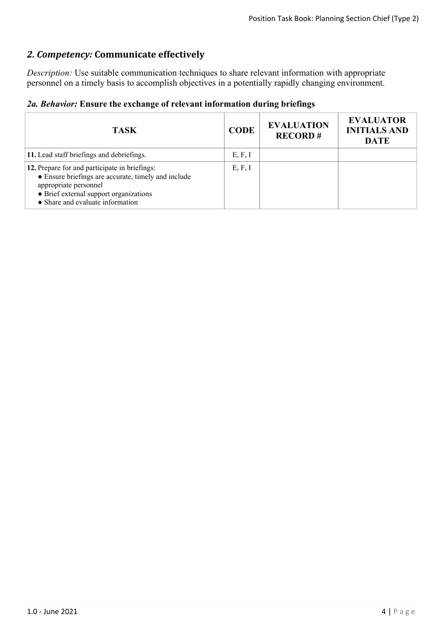## *2. Competency:* **Communicate effectively**

*Description:* Use suitable communication techniques to share relevant information with appropriate personnel on a timely basis to accomplish objectives in a potentially rapidly changing environment.

|  |  |  |  |  | 2a. Behavior: Ensure the exchange of relevant information during briefings |  |  |
|--|--|--|--|--|----------------------------------------------------------------------------|--|--|
|--|--|--|--|--|----------------------------------------------------------------------------|--|--|

| <b>TASK</b>                                                                                                                                                                                                 | <b>CODE</b> | <b>EVALUATION</b><br><b>RECORD#</b> | <b>EVALUATOR</b><br><b>INITIALS AND</b><br><b>DATE</b> |
|-------------------------------------------------------------------------------------------------------------------------------------------------------------------------------------------------------------|-------------|-------------------------------------|--------------------------------------------------------|
| 11. Lead staff briefings and debriefings.                                                                                                                                                                   | E, F, I     |                                     |                                                        |
| 12. Prepare for and participate in briefings:<br>• Ensure briefings are accurate, timely and include<br>appropriate personnel<br>• Brief external support organizations<br>• Share and evaluate information | E, F, I     |                                     |                                                        |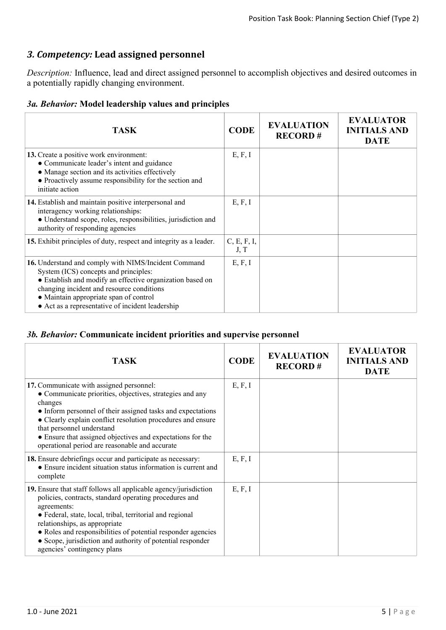## *3. Competency:* **Lead assigned personnel**

*Description:* Influence, lead and direct assigned personnel to accomplish objectives and desired outcomes in a potentially rapidly changing environment.

#### *3a. Behavior:* **Model leadership values and principles**

| <b>TASK</b>                                                                                                                                                                                                                                                                                           | <b>CODE</b>         | <b>EVALUATION</b><br><b>RECORD#</b> | <b>EVALUATOR</b><br><b>INITIALS AND</b><br><b>DATE</b> |
|-------------------------------------------------------------------------------------------------------------------------------------------------------------------------------------------------------------------------------------------------------------------------------------------------------|---------------------|-------------------------------------|--------------------------------------------------------|
| 13. Create a positive work environment:<br>• Communicate leader's intent and guidance<br>• Manage section and its activities effectively<br>• Proactively assume responsibility for the section and<br>initiate action                                                                                | E, F, I             |                                     |                                                        |
| 14. Establish and maintain positive interpersonal and<br>interagency working relationships:<br>· Understand scope, roles, responsibilities, jurisdiction and<br>authority of responding agencies                                                                                                      | E, F, I             |                                     |                                                        |
| 15. Exhibit principles of duty, respect and integrity as a leader.                                                                                                                                                                                                                                    | C, E, F, I,<br>J, T |                                     |                                                        |
| 16. Understand and comply with NIMS/Incident Command<br>System (ICS) concepts and principles:<br>• Establish and modify an effective organization based on<br>changing incident and resource conditions<br>• Maintain appropriate span of control<br>• Act as a representative of incident leadership | E, F, I             |                                     |                                                        |

#### *3b. Behavior:* **Communicate incident priorities and supervise personnel**

| <b>TASK</b>                                                                                                                                                                                                                                                                                                                                                                                          | <b>CODE</b> | <b>EVALUATION</b><br><b>RECORD#</b> | <b>EVALUATOR</b><br><b>INITIALS AND</b><br><b>DATE</b> |
|------------------------------------------------------------------------------------------------------------------------------------------------------------------------------------------------------------------------------------------------------------------------------------------------------------------------------------------------------------------------------------------------------|-------------|-------------------------------------|--------------------------------------------------------|
| 17. Communicate with assigned personnel:<br>• Communicate priorities, objectives, strategies and any<br>changes<br>• Inform personnel of their assigned tasks and expectations<br>• Clearly explain conflict resolution procedures and ensure<br>that personnel understand<br>• Ensure that assigned objectives and expectations for the<br>operational period are reasonable and accurate           | E, F, I     |                                     |                                                        |
| 18. Ensure debriefings occur and participate as necessary:<br>• Ensure incident situation status information is current and<br>complete                                                                                                                                                                                                                                                              | E, F, I     |                                     |                                                        |
| 19. Ensure that staff follows all applicable agency/jurisdiction<br>policies, contracts, standard operating procedures and<br>agreements:<br>• Federal, state, local, tribal, territorial and regional<br>relationships, as appropriate<br>• Roles and responsibilities of potential responder agencies<br>• Scope, jurisdiction and authority of potential responder<br>agencies' contingency plans | E, F, I     |                                     |                                                        |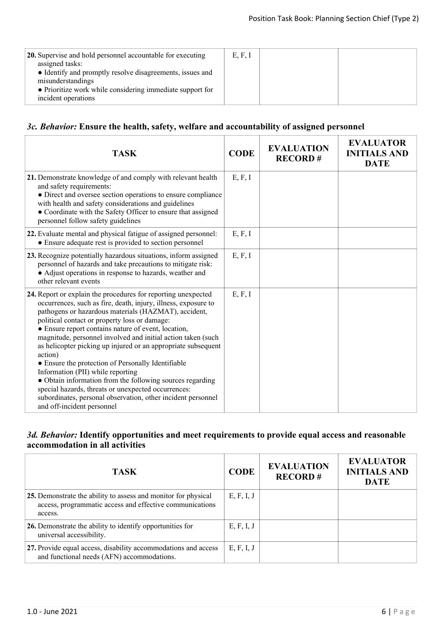| 20. Supervise and hold personnel accountable for executing<br>assigned tasks:<br>• Identify and promptly resolve disagreements, issues and | E, F, I |  |
|--------------------------------------------------------------------------------------------------------------------------------------------|---------|--|
| misunderstandings<br>• Prioritize work while considering immediate support for<br>incident operations                                      |         |  |

#### *3c. Behavior:* **Ensure the health, safety, welfare and accountability of assigned personnel**

| <b>TASK</b>                                                                                                                                                                                                                                                                                                                                                                                                                                                                                                                                                                                                                                                                                                                                              | <b>CODE</b> | <b>EVALUATION</b><br><b>RECORD#</b> | <b>EVALUATOR</b><br><b>INITIALS AND</b><br><b>DATE</b> |
|----------------------------------------------------------------------------------------------------------------------------------------------------------------------------------------------------------------------------------------------------------------------------------------------------------------------------------------------------------------------------------------------------------------------------------------------------------------------------------------------------------------------------------------------------------------------------------------------------------------------------------------------------------------------------------------------------------------------------------------------------------|-------------|-------------------------------------|--------------------------------------------------------|
| 21. Demonstrate knowledge of and comply with relevant health<br>and safety requirements:<br>• Direct and oversee section operations to ensure compliance<br>with health and safety considerations and guidelines<br>• Coordinate with the Safety Officer to ensure that assigned<br>personnel follow safety guidelines                                                                                                                                                                                                                                                                                                                                                                                                                                   | E, F, I     |                                     |                                                        |
| 22. Evaluate mental and physical fatigue of assigned personnel:<br>• Ensure adequate rest is provided to section personnel                                                                                                                                                                                                                                                                                                                                                                                                                                                                                                                                                                                                                               | E, F, I     |                                     |                                                        |
| 23. Recognize potentially hazardous situations, inform assigned<br>personnel of hazards and take precautions to mitigate risk:<br>• Adjust operations in response to hazards, weather and<br>other relevant events                                                                                                                                                                                                                                                                                                                                                                                                                                                                                                                                       | E, F, I     |                                     |                                                        |
| 24. Report or explain the procedures for reporting unexpected<br>occurrences, such as fire, death, injury, illness, exposure to<br>pathogens or hazardous materials (HAZMAT), accident,<br>political contact or property loss or damage:<br>• Ensure report contains nature of event, location,<br>magnitude, personnel involved and initial action taken (such<br>as helicopter picking up injured or an appropriate subsequent<br>action)<br>• Ensure the protection of Personally Identifiable<br>Information (PII) while reporting<br>• Obtain information from the following sources regarding<br>special hazards, threats or unexpected occurrences:<br>subordinates, personal observation, other incident personnel<br>and off-incident personnel | E, F, I     |                                     |                                                        |

#### *3d. Behavior:* **Identify opportunities and meet requirements to provide equal access and reasonable accommodation in all activities**

| <b>TASK</b>                                                                                                                           | <b>CODE</b> | <b>EVALUATION</b><br><b>RECORD#</b> | <b>EVALUATOR</b><br><b>INITIALS AND</b><br><b>DATE</b> |
|---------------------------------------------------------------------------------------------------------------------------------------|-------------|-------------------------------------|--------------------------------------------------------|
| 25. Demonstrate the ability to assess and monitor for physical<br>access, programmatic access and effective communications<br>access. | E, F, I, J  |                                     |                                                        |
| 26. Demonstrate the ability to identify opportunities for<br>universal accessibility.                                                 | E, F, I, J  |                                     |                                                        |
| 27. Provide equal access, disability accommodations and access<br>and functional needs (AFN) accommodations.                          | E, F, I, J  |                                     |                                                        |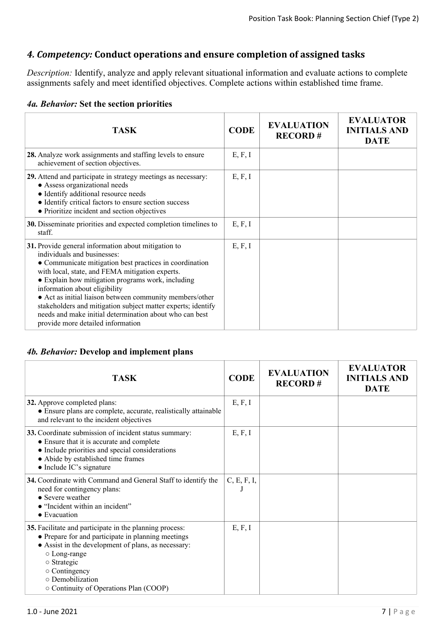## *4. Competency:* **Conduct operations and ensure completion of assigned tasks**

*Description:* Identify, analyze and apply relevant situational information and evaluate actions to complete assignments safely and meet identified objectives. Complete actions within established time frame.

| <b>TASK</b>                                                                                                                                                                                                                                                                                                                                                                                                                                                                                                        | <b>CODE</b> | <b>EVALUATION</b><br><b>RECORD#</b> | <b>EVALUATOR</b><br><b>INITIALS AND</b><br><b>DATE</b> |
|--------------------------------------------------------------------------------------------------------------------------------------------------------------------------------------------------------------------------------------------------------------------------------------------------------------------------------------------------------------------------------------------------------------------------------------------------------------------------------------------------------------------|-------------|-------------------------------------|--------------------------------------------------------|
| 28. Analyze work assignments and staffing levels to ensure<br>achievement of section objectives.                                                                                                                                                                                                                                                                                                                                                                                                                   | E, F, I     |                                     |                                                        |
| 29. Attend and participate in strategy meetings as necessary:<br>• Assess organizational needs<br>• Identify additional resource needs<br>• Identify critical factors to ensure section success<br>• Prioritize incident and section objectives                                                                                                                                                                                                                                                                    | E, F, I     |                                     |                                                        |
| 30. Disseminate priorities and expected completion timelines to<br>staff.                                                                                                                                                                                                                                                                                                                                                                                                                                          | E, F, I     |                                     |                                                        |
| 31. Provide general information about mitigation to<br>individuals and businesses:<br>• Communicate mitigation best practices in coordination<br>with local, state, and FEMA mitigation experts.<br>• Explain how mitigation programs work, including<br>information about eligibility<br>• Act as initial liaison between community members/other<br>stakeholders and mitigation subject matter experts; identify<br>needs and make initial determination about who can best<br>provide more detailed information | E, F, I     |                                     |                                                        |

#### *4b. Behavior:* **Develop and implement plans**

| <b>TASK</b>                                                                                                                                                                                                                                                                                          | <b>CODE</b> | <b>EVALUATION</b><br><b>RECORD#</b> | <b>EVALUATOR</b><br><b>INITIALS AND</b><br><b>DATE</b> |
|------------------------------------------------------------------------------------------------------------------------------------------------------------------------------------------------------------------------------------------------------------------------------------------------------|-------------|-------------------------------------|--------------------------------------------------------|
| 32. Approve completed plans:<br>• Ensure plans are complete, accurate, realistically attainable<br>and relevant to the incident objectives                                                                                                                                                           | E, F, I     |                                     |                                                        |
| 33. Coordinate submission of incident status summary:<br>• Ensure that it is accurate and complete<br>• Include priorities and special considerations<br>• Abide by established time frames<br>$\bullet$ Include IC's signature                                                                      | E, F, I     |                                     |                                                        |
| 34. Coordinate with Command and General Staff to identify the<br>need for contingency plans:<br>• Severe weather<br>• "Incident within an incident"<br>$\bullet$ Evacuation                                                                                                                          | C, E, F, I, |                                     |                                                        |
| 35. Facilitate and participate in the planning process:<br>• Prepare for and participate in planning meetings<br>• Assist in the development of plans, as necessary:<br>○ Long-range<br>$\circ$ Strategic<br>o Contingency<br>$\circ$ Demobilization<br>$\circ$ Continuity of Operations Plan (COOP) | E, F, I     |                                     |                                                        |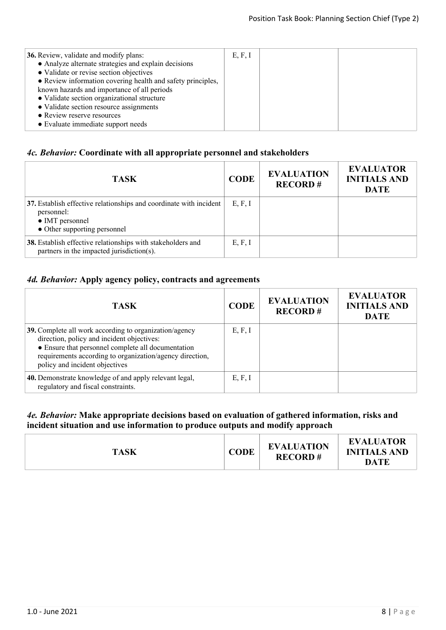| <b>36.</b> Review, validate and modify plans:               | E, F, I |  |
|-------------------------------------------------------------|---------|--|
| • Analyze alternate strategies and explain decisions        |         |  |
| • Validate or revise section objectives                     |         |  |
| • Review information covering health and safety principles, |         |  |
| known hazards and importance of all periods                 |         |  |
| • Validate section organizational structure                 |         |  |
| • Validate section resource assignments                     |         |  |
| • Review reserve resources                                  |         |  |
| • Evaluate immediate support needs                          |         |  |
|                                                             |         |  |

## *4c. Behavior:* **Coordinate with all appropriate personnel and stakeholders**

| <b>TASK</b>                                                                                                                         | <b>CODE</b> | <b>EVALUATION</b><br><b>RECORD#</b> | <b>EVALUATOR</b><br><b>INITIALS AND</b><br><b>DATE</b> |
|-------------------------------------------------------------------------------------------------------------------------------------|-------------|-------------------------------------|--------------------------------------------------------|
| 37. Establish effective relationships and coordinate with incident<br>personnel:<br>• IMT personnel<br>• Other supporting personnel | E, F, I     |                                     |                                                        |
| 38. Establish effective relationships with stakeholders and<br>partners in the impacted jurisdiction(s).                            | E, F, I     |                                     |                                                        |

## *4d. Behavior:* **Apply agency policy, contracts and agreements**

| <b>TASK</b>                                                                                                                                                                                                                                              | <b>CODE</b> | <b>EVALUATION</b><br><b>RECORD#</b> | <b>EVALUATOR</b><br><b>INITIALS AND</b><br><b>DATE</b> |
|----------------------------------------------------------------------------------------------------------------------------------------------------------------------------------------------------------------------------------------------------------|-------------|-------------------------------------|--------------------------------------------------------|
| 39. Complete all work according to organization/agency<br>direction, policy and incident objectives:<br>• Ensure that personnel complete all documentation<br>requirements according to organization/agency direction,<br>policy and incident objectives | E, F, I     |                                     |                                                        |
| 40. Demonstrate knowledge of and apply relevant legal,<br>regulatory and fiscal constraints.                                                                                                                                                             | E, F, I     |                                     |                                                        |

#### *4e. Behavior:* **Make appropriate decisions based on evaluation of gathered information, risks and incident situation and use information to produce outputs and modify approach**

| <b>TASK</b> | <b>CODE</b> | <b>EVALUATION</b><br><b>RECORD#</b> | <b>EVALUATOR</b><br><b>INITIALS AND</b><br>DATE |
|-------------|-------------|-------------------------------------|-------------------------------------------------|
|-------------|-------------|-------------------------------------|-------------------------------------------------|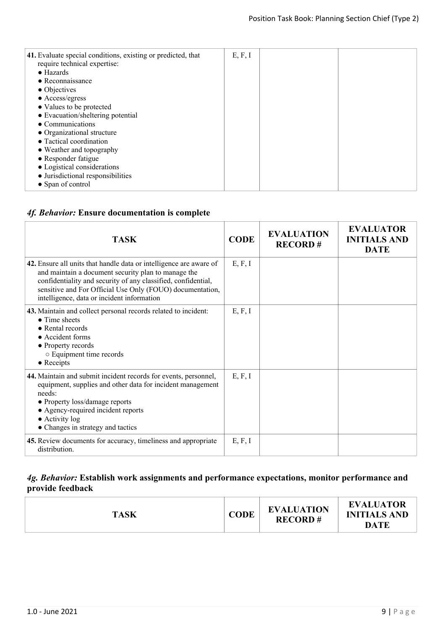| 41. Evaluate special conditions, existing or predicted, that<br>require technical expertise: | E, F, I |  |
|----------------------------------------------------------------------------------------------|---------|--|
| $\bullet$ Hazards                                                                            |         |  |
| $\bullet$ Reconnaissance                                                                     |         |  |
| $\bullet$ Objectives                                                                         |         |  |
| $\bullet$ Access/egress                                                                      |         |  |
| • Values to be protected                                                                     |         |  |
| • Evacuation/sheltering potential                                                            |         |  |
| • Communications                                                                             |         |  |
| • Organizational structure                                                                   |         |  |
| • Tactical coordination                                                                      |         |  |
| • Weather and topography                                                                     |         |  |
| • Responder fatigue                                                                          |         |  |
| • Logistical considerations                                                                  |         |  |
| • Jurisdictional responsibilities                                                            |         |  |
| • Span of control                                                                            |         |  |
|                                                                                              |         |  |

## *4f. Behavior:* **Ensure documentation is complete**

| <b>TASK</b>                                                                                                                                                                                                                                                                                           | <b>CODE</b> | <b>EVALUATION</b><br><b>RECORD#</b> | <b>EVALUATOR</b><br><b>INITIALS AND</b><br><b>DATE</b> |
|-------------------------------------------------------------------------------------------------------------------------------------------------------------------------------------------------------------------------------------------------------------------------------------------------------|-------------|-------------------------------------|--------------------------------------------------------|
| 42. Ensure all units that handle data or intelligence are aware of<br>and maintain a document security plan to manage the<br>confidentiality and security of any classified, confidential,<br>sensitive and For Official Use Only (FOUO) documentation,<br>intelligence, data or incident information | E, F, I     |                                     |                                                        |
| 43. Maintain and collect personal records related to incident:<br>$\bullet$ Time sheets<br>$\bullet$ Rental records<br>• Accident forms<br>• Property records<br>○ Equipment time records<br>$\bullet$ Receipts                                                                                       | E, F, I     |                                     |                                                        |
| 44. Maintain and submit incident records for events, personnel,<br>equipment, supplies and other data for incident management<br>needs:<br>• Property loss/damage reports<br>• Agency-required incident reports<br>$\bullet$ Activity log<br>• Changes in strategy and tactics                        | E, F, I     |                                     |                                                        |
| 45. Review documents for accuracy, timeliness and appropriate<br>distribution.                                                                                                                                                                                                                        | E, F, I     |                                     |                                                        |

#### *4g. Behavior:* **Establish work assignments and performance expectations, monitor performance and provide feedback**

| <b>TASK</b> | <b>CODE</b> | <b>EVALUATION</b><br><b>RECORD#</b> | <b>EVALUATOR</b><br><b>INITIALS AND</b><br><b>DATE</b> |
|-------------|-------------|-------------------------------------|--------------------------------------------------------|
|-------------|-------------|-------------------------------------|--------------------------------------------------------|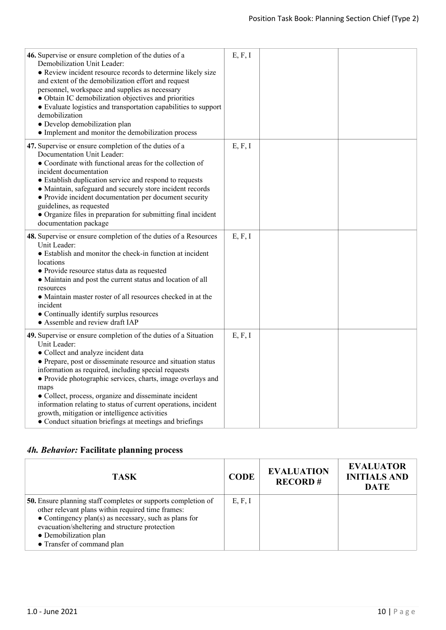| 46. Supervise or ensure completion of the duties of a<br>Demobilization Unit Leader:<br>• Review incident resource records to determine likely size<br>and extent of the demobilization effort and request<br>personnel, workspace and supplies as necessary<br>• Obtain IC demobilization objectives and priorities<br>• Evaluate logistics and transportation capabilities to support<br>demobilization<br>· Develop demobilization plan<br>• Implement and monitor the demobilization process                                                            | E, F, I |  |
|-------------------------------------------------------------------------------------------------------------------------------------------------------------------------------------------------------------------------------------------------------------------------------------------------------------------------------------------------------------------------------------------------------------------------------------------------------------------------------------------------------------------------------------------------------------|---------|--|
| 47. Supervise or ensure completion of the duties of a<br>Documentation Unit Leader:<br>• Coordinate with functional areas for the collection of<br>incident documentation<br>• Establish duplication service and respond to requests<br>• Maintain, safeguard and securely store incident records<br>• Provide incident documentation per document security<br>guidelines, as requested<br>• Organize files in preparation for submitting final incident<br>documentation package                                                                           | E, F, I |  |
| 48. Supervise or ensure completion of the duties of a Resources<br>Unit Leader:<br>• Establish and monitor the check-in function at incident<br>locations<br>• Provide resource status data as requested<br>• Maintain and post the current status and location of all<br>resources<br>• Maintain master roster of all resources checked in at the<br>incident<br>• Continually identify surplus resources<br>• Assemble and review draft IAP                                                                                                               | E, F, I |  |
| 49. Supervise or ensure completion of the duties of a Situation<br>Unit Leader:<br>• Collect and analyze incident data<br>• Prepare, post or disseminate resource and situation status<br>information as required, including special requests<br>• Provide photographic services, charts, image overlays and<br>maps<br>• Collect, process, organize and disseminate incident<br>information relating to status of current operations, incident<br>growth, mitigation or intelligence activities<br>• Conduct situation briefings at meetings and briefings | E, F, I |  |

## *4h. Behavior:* **Facilitate planning process**

| <b>TASK</b>                                                                                                                                                                                                                                                                                 | <b>CODE</b> | <b>EVALUATION</b><br><b>RECORD#</b> | <b>EVALUATOR</b><br><b>INITIALS AND</b><br><b>DATE</b> |
|---------------------------------------------------------------------------------------------------------------------------------------------------------------------------------------------------------------------------------------------------------------------------------------------|-------------|-------------------------------------|--------------------------------------------------------|
| <b>50.</b> Ensure planning staff completes or supports completion of<br>other relevant plans within required time frames:<br>• Contingency plan(s) as necessary, such as plans for<br>evacuation/sheltering and structure protection<br>• Demobilization plan<br>• Transfer of command plan | E, F, I     |                                     |                                                        |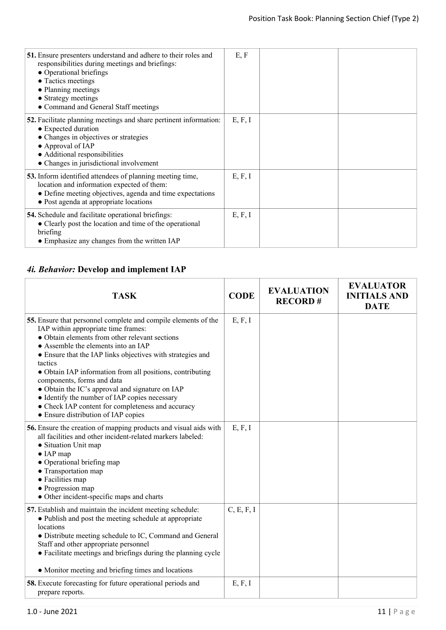| 51. Ensure presenters understand and adhere to their roles and<br>responsibilities during meetings and briefings:<br>• Operational briefings<br>• Tactics meetings<br>• Planning meetings<br>• Strategy meetings<br>• Command and General Staff meetings | E, F    |  |
|----------------------------------------------------------------------------------------------------------------------------------------------------------------------------------------------------------------------------------------------------------|---------|--|
| <b>52.</b> Facilitate planning meetings and share pertinent information:<br>• Expected duration<br>• Changes in objectives or strategies<br>• Approval of IAP<br>• Additional responsibilities<br>• Changes in jurisdictional involvement                | E, F, I |  |
| 53. Inform identified attendees of planning meeting time,<br>location and information expected of them:<br>• Define meeting objectives, agenda and time expectations<br>• Post agenda at appropriate locations                                           | E, F, I |  |
| <b>54.</b> Schedule and facilitate operational briefings:<br>• Clearly post the location and time of the operational<br>briefing<br>• Emphasize any changes from the written IAP                                                                         | E, F, I |  |

## *4i. Behavior:* **Develop and implement IAP**

| <b>TASK</b>                                                                                                                                                                                                                                                                                                                                                                                                                                                                                                                                                        | <b>CODE</b> | <b>EVALUATION</b><br><b>RECORD#</b> | <b>EVALUATOR</b><br><b>INITIALS AND</b><br><b>DATE</b> |
|--------------------------------------------------------------------------------------------------------------------------------------------------------------------------------------------------------------------------------------------------------------------------------------------------------------------------------------------------------------------------------------------------------------------------------------------------------------------------------------------------------------------------------------------------------------------|-------------|-------------------------------------|--------------------------------------------------------|
| 55. Ensure that personnel complete and compile elements of the<br>IAP within appropriate time frames:<br>• Obtain elements from other relevant sections<br>• Assemble the elements into an IAP<br>• Ensure that the IAP links objectives with strategies and<br>tactics<br>• Obtain IAP information from all positions, contributing<br>components, forms and data<br>• Obtain the IC's approval and signature on IAP<br>• Identify the number of IAP copies necessary<br>• Check IAP content for completeness and accuracy<br>• Ensure distribution of IAP copies | E, F, I     |                                     |                                                        |
| 56. Ensure the creation of mapping products and visual aids with<br>all facilities and other incident-related markers labeled:<br>• Situation Unit map<br>$\bullet$ IAP map<br>• Operational briefing map<br>• Transportation map<br>• Facilities map<br>• Progression map<br>• Other incident-specific maps and charts                                                                                                                                                                                                                                            | E, F, I     |                                     |                                                        |
| 57. Establish and maintain the incident meeting schedule:<br>• Publish and post the meeting schedule at appropriate<br>locations<br>• Distribute meeting schedule to IC, Command and General<br>Staff and other appropriate personnel<br>• Facilitate meetings and briefings during the planning cycle<br>• Monitor meeting and briefing times and locations                                                                                                                                                                                                       | C, E, F, I  |                                     |                                                        |
| <b>58.</b> Execute forecasting for future operational periods and<br>prepare reports.                                                                                                                                                                                                                                                                                                                                                                                                                                                                              | E, F, I     |                                     |                                                        |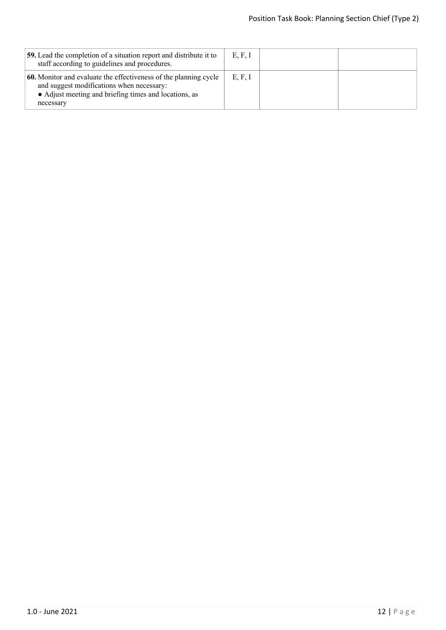| <b>59.</b> Lead the completion of a situation report and distribute it to<br>staff according to guidelines and procedures.                                                          | E, F, I |  |
|-------------------------------------------------------------------------------------------------------------------------------------------------------------------------------------|---------|--|
| 60. Monitor and evaluate the effectiveness of the planning cycle<br>and suggest modifications when necessary:<br>• Adjust meeting and briefing times and locations, as<br>necessary | E, F, I |  |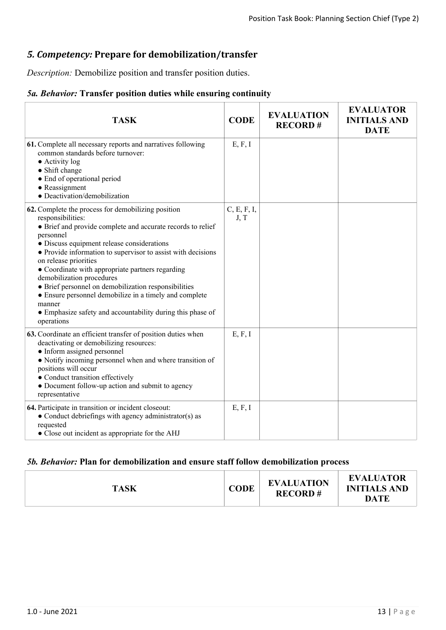## *5. Competency:* **Prepare for demobilization/transfer**

*Description:* Demobilize position and transfer position duties.

## *5a. Behavior:* **Transfer position duties while ensuring continuity**

| <b>TASK</b>                                                                                                                                                                                                                                                                                                                                                                                                                                                                                                                                                                         | <b>CODE</b>         | <b>EVALUATION</b><br><b>RECORD#</b> | <b>EVALUATOR</b><br><b>INITIALS AND</b><br><b>DATE</b> |
|-------------------------------------------------------------------------------------------------------------------------------------------------------------------------------------------------------------------------------------------------------------------------------------------------------------------------------------------------------------------------------------------------------------------------------------------------------------------------------------------------------------------------------------------------------------------------------------|---------------------|-------------------------------------|--------------------------------------------------------|
| 61. Complete all necessary reports and narratives following<br>common standards before turnover:<br>$\bullet$ Activity log<br>• Shift change<br>• End of operational period<br>• Reassignment<br>· Deactivation/demobilization                                                                                                                                                                                                                                                                                                                                                      | E, F, I             |                                     |                                                        |
| 62. Complete the process for demobilizing position<br>responsibilities:<br>• Brief and provide complete and accurate records to relief<br>personnel<br>• Discuss equipment release considerations<br>• Provide information to supervisor to assist with decisions<br>on release priorities<br>• Coordinate with appropriate partners regarding<br>demobilization procedures<br>• Brief personnel on demobilization responsibilities<br>• Ensure personnel demobilize in a timely and complete<br>manner<br>• Emphasize safety and accountability during this phase of<br>operations | C, E, F, I,<br>J, T |                                     |                                                        |
| 63. Coordinate an efficient transfer of position duties when<br>deactivating or demobilizing resources:<br>• Inform assigned personnel<br>• Notify incoming personnel when and where transition of<br>positions will occur<br>• Conduct transition effectively<br>• Document follow-up action and submit to agency<br>representative                                                                                                                                                                                                                                                | E, F, I             |                                     |                                                        |
| 64. Participate in transition or incident closeout:<br>• Conduct debriefings with agency administrator(s) as<br>requested<br>• Close out incident as appropriate for the AHJ                                                                                                                                                                                                                                                                                                                                                                                                        | E, F, I             |                                     |                                                        |

## *5b. Behavior:* **Plan for demobilization and ensure staff follow demobilization process**

| <b>TASK</b> | CODE | <b>EVALUATION</b><br><b>RECORD#</b> | <b>EVALUATOR</b><br><b>INITIALS AND</b><br><b>DATE</b> |
|-------------|------|-------------------------------------|--------------------------------------------------------|
|-------------|------|-------------------------------------|--------------------------------------------------------|